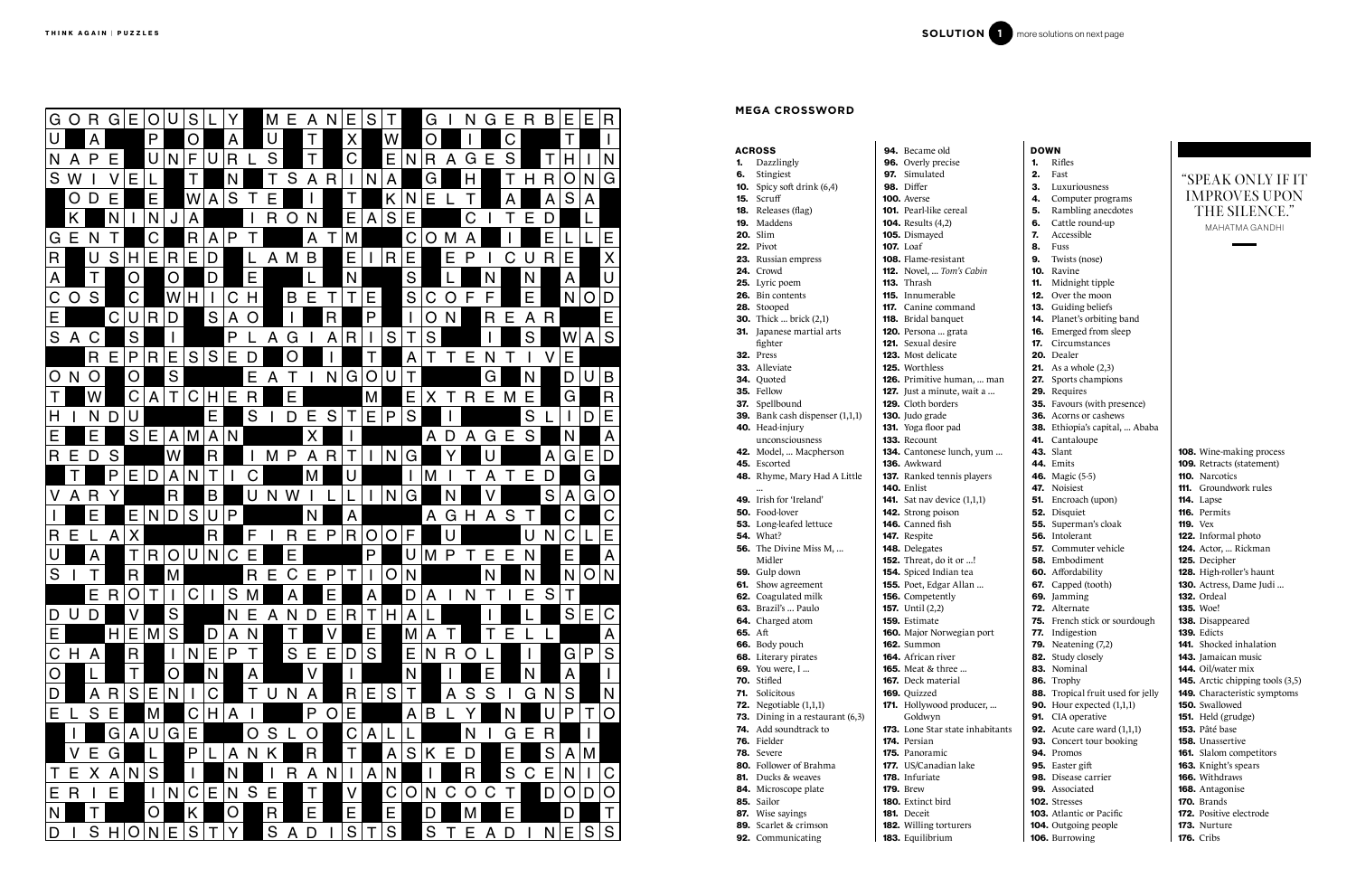## ACROSS 1. Dazzlingly 6. Stingiest **10.** Spicy soft drink  $(6,4)$ 15. Scruff

117. Canine command 118. Bridal banquet 120. Persona ... grata 121. Sexual desire

**141.** Sat nav device (1,1,1) 142. Strong poison

**152.** Threat, do it or ...! 154. Spiced Indian tea 155. Poet, Edgar Allan ...

**165.** Meat & three ... 167. Deck material

94. Became old

| <b>96.</b> Overly precise     |
|-------------------------------|
| 97. Simulated                 |
| 98. Differ                    |
| <b>100.</b> Averse            |
| <b>101.</b> Pearl-like cereal |

- 18. Releases (flag)
- 19. Maddens
- 20. Slim
- 22. Pivot 23. Russian empress
- 24. Crowd
- 25. Lyric poem
- 26. Bin contents
- 28. Stooped
- **30.** Thick ... brick (2,1)
- 31. Japanese martial arts
- fighter
- **32.** Press
- 33. Alleviate
- 34. Quoted
- 35. Fellow
- 37. Spellbound
- 39. Bank cash dispenser (1,1,1)
- 40. Head-injury
- unconsciousness
- 42. Model, ... Macpherson
- 45. Escorted
- 48. Rhyme, Mary Had A Little ...
- 49. Irish for 'Ireland'
- 50. Food-lover
- 53. Long-leafed lettuce
- 54. What?
- 56. The Divine Miss M, ... Midler
- 59. Gulp down
- 61. Show agreement
- 62. Coagulated milk
- 63. Brazil's ... Paulo
- 64. Charged atom
- 65. Aft
- 66. Body pouch
- 68. Literary pirates
- **69.** You were, I ...
- 70. Stifled
- 71. Solicitous
- **72.** Negotiable (1,1,1)
- **73.** Dining in a restaurant (6,3)
- 74. Add soundtrack to
- 76. Fielder
- 78. Severe
- 80. Follower of Brahma
- 81. Ducks & weaves
- 84. Microscope plate 85. Sailor
- 87. Wise sayings
	-
- 89. Scarlet & crimson 92. Communicating
- 
- 181. Deceit 182. Willing torturers
- 183. Equilibrium

104. Results (4,2) 105. Dismayed 107. Loaf

108. Flame-resistant 112. Novel, ... *Tom's Cabin*

113. Thrash 115. Innumerable

123. Most delicate 125. Worthless

126. Primitive human, ... man **127.** Just a minute, wait  $a_{\mu}$ . 129. Cloth borders

130. Judo grade

131. Yoga floor pad

133. Recount

134. Cantonese lunch, yum ...

136. Awkward

137. Ranked tennis players

140. Enlist

# **CORPORATION AND RELATIONS ON A REPORT OF A SUBMIT CONTINUES.**<br>
CORPORATION AND RELATIONS ON A REPORT OF A SUBMIT CONTINUES.<br>
CORPORATION AND RELATIONS ON A REPORT OF A SUBMIT CONTINUES.<br>
CORPORATION AND RELATIONS ON A REP

146. Canned fish 147. Respite 148. Delegates

156. Competently 157. Until (2,2) 159. Estimate

160. Major Norwegian port

162. Summon 164. African river

169. Quizzed

171. Hollywood producer, ...

Goldwyn

173. Lone Star state inhabitants

174. Persian 175. Panoramic

177. US/Canadian lake

178. Infuriate 179. Brew 180. Extinct bird DOWN 1. Rifles

2. Fast

- 3. Luxuriousness
- 4. Computer programs 5. Rambling anecdotes
- 6. Cattle round-up
- 7. Accessible
- 8. Fuss
- 9. Twists (nose)
- 10. Ravine
- 11. Midnight tipple
- 12. Over the moon
- 13. Guiding beliefs
- 14. Planet's orbiting band
- 16. Emerged from sleep
- 17. Circumstances
- 20. Dealer **21.** As a whole  $(2,3)$
- 27. Sports champions
- 29. Requires
- 35. Favours (with presence)
- 36. Acorns or cashews
- 38. Ethiopia's capital, ... Ababa
- 41. Cantaloupe
- 43. Slant 44. Emits
- 46. Magic (5-5)
- 47. Noisiest
- 51. Encroach (upon)
- 52. Disquiet
- 55. Superman's cloak 56. Intolerant
- 57. Commuter vehicle
- 58. Embodiment
- 60. Affordability
- 67. Capped (tooth)
- 69. Jamming
- 72. Alternate
- 75. French stick or sourdough 77. Indigestion
- 79. Neatening (7,2)
- 82. Study closely
- 83. Nominal 86. Trophy
- 88. Tropical fruit used for jelly
- **90.** Hour expected  $(1,1,1)$
- 91. CIA operative
- **92.** Acute care ward (1,1,1)
- 93. Concert tour booking
- 94. Promos 95. Easter gift
- 98. Disease carrier
- 99. Associated
- 102. Stresses 103. Atlantic or Pacific
- 104. Outgoing people
- 106. Burrowing

108. Wine-making process 109. Retracts (statement) 110. Narcotics 111. Groundwork rules 114. Lapse 116. Permits 119. Vex 122. Informal photo 124. Actor, ... Rickman 125. Decipher 128. High-roller's haunt 130. Actress, Dame Judi ... 132. Ordeal 135. Woe! 138. Disappeared 139. Edicts 141. Shocked inhalation 143. Jamaican music 144. Oil/water mix 145. Arctic chipping tools (3,5) 149. Characteristic symptoms 150. Swallowed 151. Held (grudge) 153. Pâté base 158. Unassertive 161. Slalom competitors 163. Knight's spears 166. Withdraws 168. Antagonise 170. Brands 172. Positive electrode 173. Nurture

MAHATMA GANDHI

# **MEGA CROSSWORD**

# "SPEAK ONLY IF IT IMPROVES UPON THE SILENCE."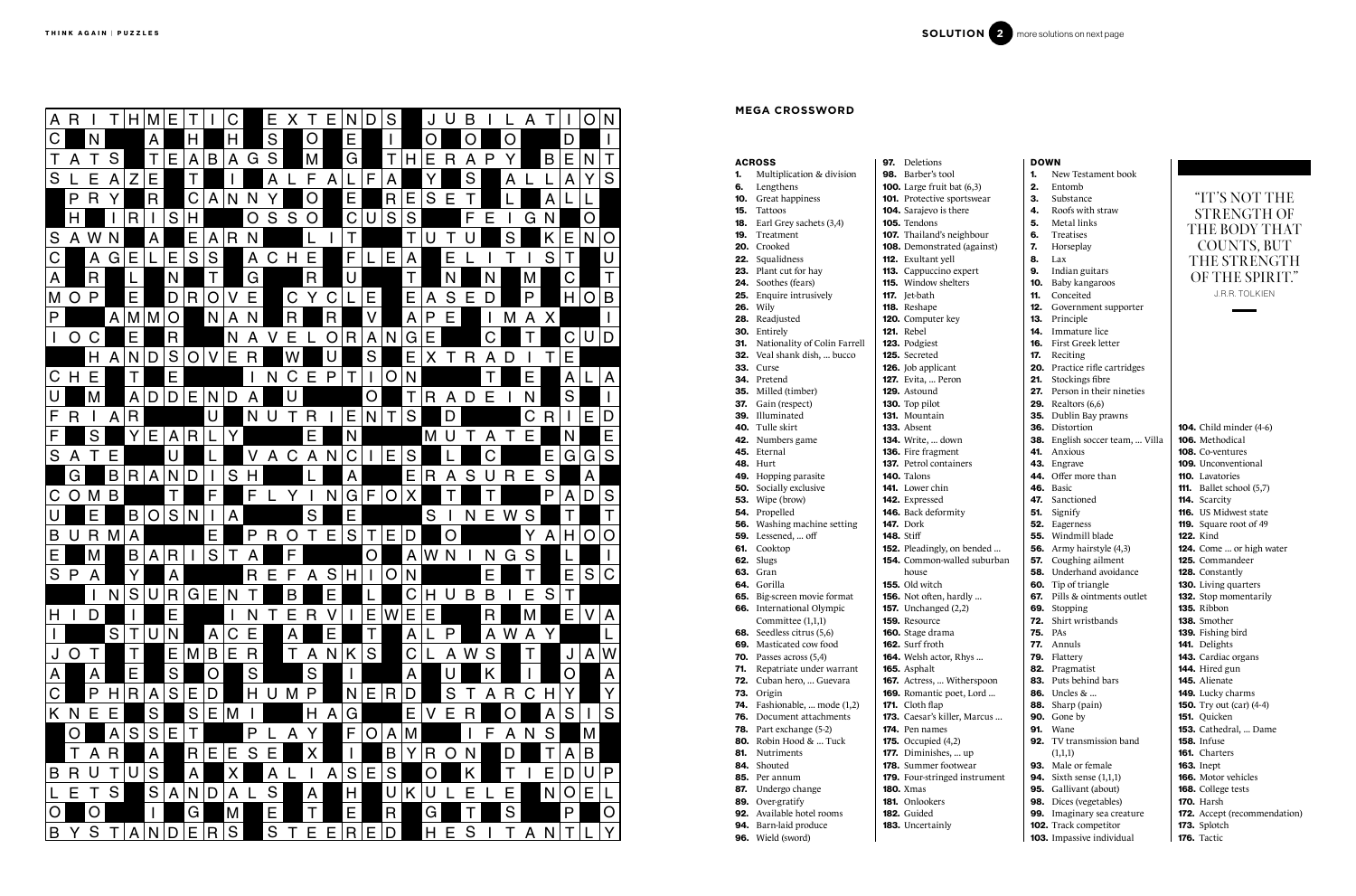| Multiplication & division<br><b>98.</b> Barber's tool<br>1.<br>Lengthens<br><b>100.</b> Large fruit bat (6,3)<br>6.<br>101. Protective sportswear<br><b>10.</b> Great happiness<br>15. Tattoos<br><b>104.</b> Sarajevo is there<br><b>18.</b> Earl Grey sachets (3,4)<br>105. Tendons<br>19.<br>107. Thailand's neighbour<br>Treatment<br>20. Crooked<br>108. Demonstrated (agains<br>22. Squalidness<br><b>112.</b> Exultant yell<br>23. Plant cut for hay<br>113. Cappuccino expert<br>115. Window shelters<br>Soothes (fears)<br>24.<br>25. Enquire intrusively<br><b>117.</b> Jet-bath<br><b>26.</b> Wily<br>118. Reshape<br>28. Readjusted<br>120. Computer key<br>121. Rebel<br>30. Entirely<br>123. Podgiest<br>31. Nationality of Colin Farrell<br>32. Veal shank dish,  bucco<br>125. Secreted<br>126. Job applicant<br>33.<br>Curse<br><b>127.</b> Evita,  Peron<br>34. Pretend<br><b>35.</b> Milled (timber)<br><b>129.</b> Astound<br>37. Gain (respect)<br>130. Top pilot<br>39. Illuminated<br>131. Mountain<br>40. Tulle skirt<br><b>133.</b> Absent<br>134. Write,  down<br>42. Numbers game<br>45. Eternal<br>136. Fire fragment<br><b>137.</b> Petrol containers<br><b>48. Hurt</b><br>140. Talons<br>49. Hopping parasite<br><b>50.</b> Socially exclusive<br><b>141.</b> Lower chin<br>53. Wipe (brow)<br><b>142.</b> Expressed<br>54. Propelled<br>146. Back deformity<br><b>56.</b> Washing machine setting<br><b>147.</b> Dork<br><b>59.</b> Lessened,  off<br><b>148.</b> Stiff<br>61.<br>Cooktop<br>152. Pleadingly, on bended<br><b>62.</b> Slugs<br><b>154.</b> Common-walled subu<br>63. Gran<br>house<br>64. Gorilla<br><b>155.</b> Old witch<br>156. Not often, hardly<br>65. Big-screen movie format<br>66. International Olympic<br><b>157.</b> Unchanged (2,2)<br>Committee (1,1,1)<br><b>159.</b> Resource<br>Seedless citrus (5,6)<br>160. Stage drama<br>68.<br>Masticated cow food<br>162. Surf froth<br>69.<br>Passes across (5,4)<br>164. Welsh actor, Rhys<br>70.<br>71.<br>Repatriate under warrant<br>165. Asphalt<br>Cuban hero,  Guevara<br>167. Actress,  Witherspoc<br>72.<br>169. Romantic poet, Lord.<br>73.<br>Origin<br>Fashionable,  mode (1,2)<br>171. Cloth flap<br>74.<br>Document attachments<br>76.<br>173. Caesar's killer, Marcus<br>174. Pen names<br>78.<br>Part exchange (5-2)<br>80.<br>Robin Hood &  Tuck<br><b>175.</b> Occupied (4,2)<br>81.<br><b>Nutriments</b><br>177. Diminishes,  up<br>Shouted<br>178. Summer footwear<br>84.<br>179. Four-stringed instrum<br>85.<br>Per annum<br>87.<br><b>180.</b> Xmas<br>Undergo change<br>Over-gratify<br><b>181.</b> Onlookers<br>89.<br>92.<br>Available hotel rooms<br>182. Guided<br>94.<br>Barn-laid produce<br>183. Uncertainly | <b>ACROSS</b> | <b>97.</b> Deletions |
|----------------------------------------------------------------------------------------------------------------------------------------------------------------------------------------------------------------------------------------------------------------------------------------------------------------------------------------------------------------------------------------------------------------------------------------------------------------------------------------------------------------------------------------------------------------------------------------------------------------------------------------------------------------------------------------------------------------------------------------------------------------------------------------------------------------------------------------------------------------------------------------------------------------------------------------------------------------------------------------------------------------------------------------------------------------------------------------------------------------------------------------------------------------------------------------------------------------------------------------------------------------------------------------------------------------------------------------------------------------------------------------------------------------------------------------------------------------------------------------------------------------------------------------------------------------------------------------------------------------------------------------------------------------------------------------------------------------------------------------------------------------------------------------------------------------------------------------------------------------------------------------------------------------------------------------------------------------------------------------------------------------------------------------------------------------------------------------------------------------------------------------------------------------------------------------------------------------------------------------------------------------------------------------------------------------------------------------------------------------------------------------------------------------------------------------------------------------------------------------------------------------------------------------------------------------------------------------------------------------------------------------------------------------------------------------------------------------------------------------------------|---------------|----------------------|
|                                                                                                                                                                                                                                                                                                                                                                                                                                                                                                                                                                                                                                                                                                                                                                                                                                                                                                                                                                                                                                                                                                                                                                                                                                                                                                                                                                                                                                                                                                                                                                                                                                                                                                                                                                                                                                                                                                                                                                                                                                                                                                                                                                                                                                                                                                                                                                                                                                                                                                                                                                                                                                                                                                                                                    |               |                      |
|                                                                                                                                                                                                                                                                                                                                                                                                                                                                                                                                                                                                                                                                                                                                                                                                                                                                                                                                                                                                                                                                                                                                                                                                                                                                                                                                                                                                                                                                                                                                                                                                                                                                                                                                                                                                                                                                                                                                                                                                                                                                                                                                                                                                                                                                                                                                                                                                                                                                                                                                                                                                                                                                                                                                                    |               |                      |
|                                                                                                                                                                                                                                                                                                                                                                                                                                                                                                                                                                                                                                                                                                                                                                                                                                                                                                                                                                                                                                                                                                                                                                                                                                                                                                                                                                                                                                                                                                                                                                                                                                                                                                                                                                                                                                                                                                                                                                                                                                                                                                                                                                                                                                                                                                                                                                                                                                                                                                                                                                                                                                                                                                                                                    |               |                      |
|                                                                                                                                                                                                                                                                                                                                                                                                                                                                                                                                                                                                                                                                                                                                                                                                                                                                                                                                                                                                                                                                                                                                                                                                                                                                                                                                                                                                                                                                                                                                                                                                                                                                                                                                                                                                                                                                                                                                                                                                                                                                                                                                                                                                                                                                                                                                                                                                                                                                                                                                                                                                                                                                                                                                                    |               |                      |
|                                                                                                                                                                                                                                                                                                                                                                                                                                                                                                                                                                                                                                                                                                                                                                                                                                                                                                                                                                                                                                                                                                                                                                                                                                                                                                                                                                                                                                                                                                                                                                                                                                                                                                                                                                                                                                                                                                                                                                                                                                                                                                                                                                                                                                                                                                                                                                                                                                                                                                                                                                                                                                                                                                                                                    |               |                      |
|                                                                                                                                                                                                                                                                                                                                                                                                                                                                                                                                                                                                                                                                                                                                                                                                                                                                                                                                                                                                                                                                                                                                                                                                                                                                                                                                                                                                                                                                                                                                                                                                                                                                                                                                                                                                                                                                                                                                                                                                                                                                                                                                                                                                                                                                                                                                                                                                                                                                                                                                                                                                                                                                                                                                                    |               |                      |
|                                                                                                                                                                                                                                                                                                                                                                                                                                                                                                                                                                                                                                                                                                                                                                                                                                                                                                                                                                                                                                                                                                                                                                                                                                                                                                                                                                                                                                                                                                                                                                                                                                                                                                                                                                                                                                                                                                                                                                                                                                                                                                                                                                                                                                                                                                                                                                                                                                                                                                                                                                                                                                                                                                                                                    |               |                      |
|                                                                                                                                                                                                                                                                                                                                                                                                                                                                                                                                                                                                                                                                                                                                                                                                                                                                                                                                                                                                                                                                                                                                                                                                                                                                                                                                                                                                                                                                                                                                                                                                                                                                                                                                                                                                                                                                                                                                                                                                                                                                                                                                                                                                                                                                                                                                                                                                                                                                                                                                                                                                                                                                                                                                                    |               |                      |
|                                                                                                                                                                                                                                                                                                                                                                                                                                                                                                                                                                                                                                                                                                                                                                                                                                                                                                                                                                                                                                                                                                                                                                                                                                                                                                                                                                                                                                                                                                                                                                                                                                                                                                                                                                                                                                                                                                                                                                                                                                                                                                                                                                                                                                                                                                                                                                                                                                                                                                                                                                                                                                                                                                                                                    |               |                      |
|                                                                                                                                                                                                                                                                                                                                                                                                                                                                                                                                                                                                                                                                                                                                                                                                                                                                                                                                                                                                                                                                                                                                                                                                                                                                                                                                                                                                                                                                                                                                                                                                                                                                                                                                                                                                                                                                                                                                                                                                                                                                                                                                                                                                                                                                                                                                                                                                                                                                                                                                                                                                                                                                                                                                                    |               |                      |
|                                                                                                                                                                                                                                                                                                                                                                                                                                                                                                                                                                                                                                                                                                                                                                                                                                                                                                                                                                                                                                                                                                                                                                                                                                                                                                                                                                                                                                                                                                                                                                                                                                                                                                                                                                                                                                                                                                                                                                                                                                                                                                                                                                                                                                                                                                                                                                                                                                                                                                                                                                                                                                                                                                                                                    |               |                      |
|                                                                                                                                                                                                                                                                                                                                                                                                                                                                                                                                                                                                                                                                                                                                                                                                                                                                                                                                                                                                                                                                                                                                                                                                                                                                                                                                                                                                                                                                                                                                                                                                                                                                                                                                                                                                                                                                                                                                                                                                                                                                                                                                                                                                                                                                                                                                                                                                                                                                                                                                                                                                                                                                                                                                                    |               |                      |
|                                                                                                                                                                                                                                                                                                                                                                                                                                                                                                                                                                                                                                                                                                                                                                                                                                                                                                                                                                                                                                                                                                                                                                                                                                                                                                                                                                                                                                                                                                                                                                                                                                                                                                                                                                                                                                                                                                                                                                                                                                                                                                                                                                                                                                                                                                                                                                                                                                                                                                                                                                                                                                                                                                                                                    |               |                      |
|                                                                                                                                                                                                                                                                                                                                                                                                                                                                                                                                                                                                                                                                                                                                                                                                                                                                                                                                                                                                                                                                                                                                                                                                                                                                                                                                                                                                                                                                                                                                                                                                                                                                                                                                                                                                                                                                                                                                                                                                                                                                                                                                                                                                                                                                                                                                                                                                                                                                                                                                                                                                                                                                                                                                                    |               |                      |
|                                                                                                                                                                                                                                                                                                                                                                                                                                                                                                                                                                                                                                                                                                                                                                                                                                                                                                                                                                                                                                                                                                                                                                                                                                                                                                                                                                                                                                                                                                                                                                                                                                                                                                                                                                                                                                                                                                                                                                                                                                                                                                                                                                                                                                                                                                                                                                                                                                                                                                                                                                                                                                                                                                                                                    |               |                      |
|                                                                                                                                                                                                                                                                                                                                                                                                                                                                                                                                                                                                                                                                                                                                                                                                                                                                                                                                                                                                                                                                                                                                                                                                                                                                                                                                                                                                                                                                                                                                                                                                                                                                                                                                                                                                                                                                                                                                                                                                                                                                                                                                                                                                                                                                                                                                                                                                                                                                                                                                                                                                                                                                                                                                                    |               |                      |
|                                                                                                                                                                                                                                                                                                                                                                                                                                                                                                                                                                                                                                                                                                                                                                                                                                                                                                                                                                                                                                                                                                                                                                                                                                                                                                                                                                                                                                                                                                                                                                                                                                                                                                                                                                                                                                                                                                                                                                                                                                                                                                                                                                                                                                                                                                                                                                                                                                                                                                                                                                                                                                                                                                                                                    |               |                      |
|                                                                                                                                                                                                                                                                                                                                                                                                                                                                                                                                                                                                                                                                                                                                                                                                                                                                                                                                                                                                                                                                                                                                                                                                                                                                                                                                                                                                                                                                                                                                                                                                                                                                                                                                                                                                                                                                                                                                                                                                                                                                                                                                                                                                                                                                                                                                                                                                                                                                                                                                                                                                                                                                                                                                                    |               |                      |
|                                                                                                                                                                                                                                                                                                                                                                                                                                                                                                                                                                                                                                                                                                                                                                                                                                                                                                                                                                                                                                                                                                                                                                                                                                                                                                                                                                                                                                                                                                                                                                                                                                                                                                                                                                                                                                                                                                                                                                                                                                                                                                                                                                                                                                                                                                                                                                                                                                                                                                                                                                                                                                                                                                                                                    |               |                      |
|                                                                                                                                                                                                                                                                                                                                                                                                                                                                                                                                                                                                                                                                                                                                                                                                                                                                                                                                                                                                                                                                                                                                                                                                                                                                                                                                                                                                                                                                                                                                                                                                                                                                                                                                                                                                                                                                                                                                                                                                                                                                                                                                                                                                                                                                                                                                                                                                                                                                                                                                                                                                                                                                                                                                                    |               |                      |
|                                                                                                                                                                                                                                                                                                                                                                                                                                                                                                                                                                                                                                                                                                                                                                                                                                                                                                                                                                                                                                                                                                                                                                                                                                                                                                                                                                                                                                                                                                                                                                                                                                                                                                                                                                                                                                                                                                                                                                                                                                                                                                                                                                                                                                                                                                                                                                                                                                                                                                                                                                                                                                                                                                                                                    |               |                      |
|                                                                                                                                                                                                                                                                                                                                                                                                                                                                                                                                                                                                                                                                                                                                                                                                                                                                                                                                                                                                                                                                                                                                                                                                                                                                                                                                                                                                                                                                                                                                                                                                                                                                                                                                                                                                                                                                                                                                                                                                                                                                                                                                                                                                                                                                                                                                                                                                                                                                                                                                                                                                                                                                                                                                                    |               |                      |
|                                                                                                                                                                                                                                                                                                                                                                                                                                                                                                                                                                                                                                                                                                                                                                                                                                                                                                                                                                                                                                                                                                                                                                                                                                                                                                                                                                                                                                                                                                                                                                                                                                                                                                                                                                                                                                                                                                                                                                                                                                                                                                                                                                                                                                                                                                                                                                                                                                                                                                                                                                                                                                                                                                                                                    |               |                      |
|                                                                                                                                                                                                                                                                                                                                                                                                                                                                                                                                                                                                                                                                                                                                                                                                                                                                                                                                                                                                                                                                                                                                                                                                                                                                                                                                                                                                                                                                                                                                                                                                                                                                                                                                                                                                                                                                                                                                                                                                                                                                                                                                                                                                                                                                                                                                                                                                                                                                                                                                                                                                                                                                                                                                                    |               |                      |
|                                                                                                                                                                                                                                                                                                                                                                                                                                                                                                                                                                                                                                                                                                                                                                                                                                                                                                                                                                                                                                                                                                                                                                                                                                                                                                                                                                                                                                                                                                                                                                                                                                                                                                                                                                                                                                                                                                                                                                                                                                                                                                                                                                                                                                                                                                                                                                                                                                                                                                                                                                                                                                                                                                                                                    |               |                      |
|                                                                                                                                                                                                                                                                                                                                                                                                                                                                                                                                                                                                                                                                                                                                                                                                                                                                                                                                                                                                                                                                                                                                                                                                                                                                                                                                                                                                                                                                                                                                                                                                                                                                                                                                                                                                                                                                                                                                                                                                                                                                                                                                                                                                                                                                                                                                                                                                                                                                                                                                                                                                                                                                                                                                                    |               |                      |
|                                                                                                                                                                                                                                                                                                                                                                                                                                                                                                                                                                                                                                                                                                                                                                                                                                                                                                                                                                                                                                                                                                                                                                                                                                                                                                                                                                                                                                                                                                                                                                                                                                                                                                                                                                                                                                                                                                                                                                                                                                                                                                                                                                                                                                                                                                                                                                                                                                                                                                                                                                                                                                                                                                                                                    |               |                      |
|                                                                                                                                                                                                                                                                                                                                                                                                                                                                                                                                                                                                                                                                                                                                                                                                                                                                                                                                                                                                                                                                                                                                                                                                                                                                                                                                                                                                                                                                                                                                                                                                                                                                                                                                                                                                                                                                                                                                                                                                                                                                                                                                                                                                                                                                                                                                                                                                                                                                                                                                                                                                                                                                                                                                                    |               |                      |
|                                                                                                                                                                                                                                                                                                                                                                                                                                                                                                                                                                                                                                                                                                                                                                                                                                                                                                                                                                                                                                                                                                                                                                                                                                                                                                                                                                                                                                                                                                                                                                                                                                                                                                                                                                                                                                                                                                                                                                                                                                                                                                                                                                                                                                                                                                                                                                                                                                                                                                                                                                                                                                                                                                                                                    |               |                      |
|                                                                                                                                                                                                                                                                                                                                                                                                                                                                                                                                                                                                                                                                                                                                                                                                                                                                                                                                                                                                                                                                                                                                                                                                                                                                                                                                                                                                                                                                                                                                                                                                                                                                                                                                                                                                                                                                                                                                                                                                                                                                                                                                                                                                                                                                                                                                                                                                                                                                                                                                                                                                                                                                                                                                                    |               |                      |
|                                                                                                                                                                                                                                                                                                                                                                                                                                                                                                                                                                                                                                                                                                                                                                                                                                                                                                                                                                                                                                                                                                                                                                                                                                                                                                                                                                                                                                                                                                                                                                                                                                                                                                                                                                                                                                                                                                                                                                                                                                                                                                                                                                                                                                                                                                                                                                                                                                                                                                                                                                                                                                                                                                                                                    |               |                      |
|                                                                                                                                                                                                                                                                                                                                                                                                                                                                                                                                                                                                                                                                                                                                                                                                                                                                                                                                                                                                                                                                                                                                                                                                                                                                                                                                                                                                                                                                                                                                                                                                                                                                                                                                                                                                                                                                                                                                                                                                                                                                                                                                                                                                                                                                                                                                                                                                                                                                                                                                                                                                                                                                                                                                                    |               |                      |
|                                                                                                                                                                                                                                                                                                                                                                                                                                                                                                                                                                                                                                                                                                                                                                                                                                                                                                                                                                                                                                                                                                                                                                                                                                                                                                                                                                                                                                                                                                                                                                                                                                                                                                                                                                                                                                                                                                                                                                                                                                                                                                                                                                                                                                                                                                                                                                                                                                                                                                                                                                                                                                                                                                                                                    |               |                      |
|                                                                                                                                                                                                                                                                                                                                                                                                                                                                                                                                                                                                                                                                                                                                                                                                                                                                                                                                                                                                                                                                                                                                                                                                                                                                                                                                                                                                                                                                                                                                                                                                                                                                                                                                                                                                                                                                                                                                                                                                                                                                                                                                                                                                                                                                                                                                                                                                                                                                                                                                                                                                                                                                                                                                                    |               |                      |
|                                                                                                                                                                                                                                                                                                                                                                                                                                                                                                                                                                                                                                                                                                                                                                                                                                                                                                                                                                                                                                                                                                                                                                                                                                                                                                                                                                                                                                                                                                                                                                                                                                                                                                                                                                                                                                                                                                                                                                                                                                                                                                                                                                                                                                                                                                                                                                                                                                                                                                                                                                                                                                                                                                                                                    |               |                      |
|                                                                                                                                                                                                                                                                                                                                                                                                                                                                                                                                                                                                                                                                                                                                                                                                                                                                                                                                                                                                                                                                                                                                                                                                                                                                                                                                                                                                                                                                                                                                                                                                                                                                                                                                                                                                                                                                                                                                                                                                                                                                                                                                                                                                                                                                                                                                                                                                                                                                                                                                                                                                                                                                                                                                                    |               |                      |
|                                                                                                                                                                                                                                                                                                                                                                                                                                                                                                                                                                                                                                                                                                                                                                                                                                                                                                                                                                                                                                                                                                                                                                                                                                                                                                                                                                                                                                                                                                                                                                                                                                                                                                                                                                                                                                                                                                                                                                                                                                                                                                                                                                                                                                                                                                                                                                                                                                                                                                                                                                                                                                                                                                                                                    |               |                      |
|                                                                                                                                                                                                                                                                                                                                                                                                                                                                                                                                                                                                                                                                                                                                                                                                                                                                                                                                                                                                                                                                                                                                                                                                                                                                                                                                                                                                                                                                                                                                                                                                                                                                                                                                                                                                                                                                                                                                                                                                                                                                                                                                                                                                                                                                                                                                                                                                                                                                                                                                                                                                                                                                                                                                                    |               |                      |
|                                                                                                                                                                                                                                                                                                                                                                                                                                                                                                                                                                                                                                                                                                                                                                                                                                                                                                                                                                                                                                                                                                                                                                                                                                                                                                                                                                                                                                                                                                                                                                                                                                                                                                                                                                                                                                                                                                                                                                                                                                                                                                                                                                                                                                                                                                                                                                                                                                                                                                                                                                                                                                                                                                                                                    |               |                      |
|                                                                                                                                                                                                                                                                                                                                                                                                                                                                                                                                                                                                                                                                                                                                                                                                                                                                                                                                                                                                                                                                                                                                                                                                                                                                                                                                                                                                                                                                                                                                                                                                                                                                                                                                                                                                                                                                                                                                                                                                                                                                                                                                                                                                                                                                                                                                                                                                                                                                                                                                                                                                                                                                                                                                                    |               |                      |
|                                                                                                                                                                                                                                                                                                                                                                                                                                                                                                                                                                                                                                                                                                                                                                                                                                                                                                                                                                                                                                                                                                                                                                                                                                                                                                                                                                                                                                                                                                                                                                                                                                                                                                                                                                                                                                                                                                                                                                                                                                                                                                                                                                                                                                                                                                                                                                                                                                                                                                                                                                                                                                                                                                                                                    |               |                      |
|                                                                                                                                                                                                                                                                                                                                                                                                                                                                                                                                                                                                                                                                                                                                                                                                                                                                                                                                                                                                                                                                                                                                                                                                                                                                                                                                                                                                                                                                                                                                                                                                                                                                                                                                                                                                                                                                                                                                                                                                                                                                                                                                                                                                                                                                                                                                                                                                                                                                                                                                                                                                                                                                                                                                                    |               |                      |
|                                                                                                                                                                                                                                                                                                                                                                                                                                                                                                                                                                                                                                                                                                                                                                                                                                                                                                                                                                                                                                                                                                                                                                                                                                                                                                                                                                                                                                                                                                                                                                                                                                                                                                                                                                                                                                                                                                                                                                                                                                                                                                                                                                                                                                                                                                                                                                                                                                                                                                                                                                                                                                                                                                                                                    |               |                      |
|                                                                                                                                                                                                                                                                                                                                                                                                                                                                                                                                                                                                                                                                                                                                                                                                                                                                                                                                                                                                                                                                                                                                                                                                                                                                                                                                                                                                                                                                                                                                                                                                                                                                                                                                                                                                                                                                                                                                                                                                                                                                                                                                                                                                                                                                                                                                                                                                                                                                                                                                                                                                                                                                                                                                                    |               |                      |
|                                                                                                                                                                                                                                                                                                                                                                                                                                                                                                                                                                                                                                                                                                                                                                                                                                                                                                                                                                                                                                                                                                                                                                                                                                                                                                                                                                                                                                                                                                                                                                                                                                                                                                                                                                                                                                                                                                                                                                                                                                                                                                                                                                                                                                                                                                                                                                                                                                                                                                                                                                                                                                                                                                                                                    |               |                      |
|                                                                                                                                                                                                                                                                                                                                                                                                                                                                                                                                                                                                                                                                                                                                                                                                                                                                                                                                                                                                                                                                                                                                                                                                                                                                                                                                                                                                                                                                                                                                                                                                                                                                                                                                                                                                                                                                                                                                                                                                                                                                                                                                                                                                                                                                                                                                                                                                                                                                                                                                                                                                                                                                                                                                                    |               |                      |
|                                                                                                                                                                                                                                                                                                                                                                                                                                                                                                                                                                                                                                                                                                                                                                                                                                                                                                                                                                                                                                                                                                                                                                                                                                                                                                                                                                                                                                                                                                                                                                                                                                                                                                                                                                                                                                                                                                                                                                                                                                                                                                                                                                                                                                                                                                                                                                                                                                                                                                                                                                                                                                                                                                                                                    |               |                      |
|                                                                                                                                                                                                                                                                                                                                                                                                                                                                                                                                                                                                                                                                                                                                                                                                                                                                                                                                                                                                                                                                                                                                                                                                                                                                                                                                                                                                                                                                                                                                                                                                                                                                                                                                                                                                                                                                                                                                                                                                                                                                                                                                                                                                                                                                                                                                                                                                                                                                                                                                                                                                                                                                                                                                                    |               |                      |
|                                                                                                                                                                                                                                                                                                                                                                                                                                                                                                                                                                                                                                                                                                                                                                                                                                                                                                                                                                                                                                                                                                                                                                                                                                                                                                                                                                                                                                                                                                                                                                                                                                                                                                                                                                                                                                                                                                                                                                                                                                                                                                                                                                                                                                                                                                                                                                                                                                                                                                                                                                                                                                                                                                                                                    |               |                      |
|                                                                                                                                                                                                                                                                                                                                                                                                                                                                                                                                                                                                                                                                                                                                                                                                                                                                                                                                                                                                                                                                                                                                                                                                                                                                                                                                                                                                                                                                                                                                                                                                                                                                                                                                                                                                                                                                                                                                                                                                                                                                                                                                                                                                                                                                                                                                                                                                                                                                                                                                                                                                                                                                                                                                                    |               |                      |
|                                                                                                                                                                                                                                                                                                                                                                                                                                                                                                                                                                                                                                                                                                                                                                                                                                                                                                                                                                                                                                                                                                                                                                                                                                                                                                                                                                                                                                                                                                                                                                                                                                                                                                                                                                                                                                                                                                                                                                                                                                                                                                                                                                                                                                                                                                                                                                                                                                                                                                                                                                                                                                                                                                                                                    |               |                      |
|                                                                                                                                                                                                                                                                                                                                                                                                                                                                                                                                                                                                                                                                                                                                                                                                                                                                                                                                                                                                                                                                                                                                                                                                                                                                                                                                                                                                                                                                                                                                                                                                                                                                                                                                                                                                                                                                                                                                                                                                                                                                                                                                                                                                                                                                                                                                                                                                                                                                                                                                                                                                                                                                                                                                                    |               |                      |
|                                                                                                                                                                                                                                                                                                                                                                                                                                                                                                                                                                                                                                                                                                                                                                                                                                                                                                                                                                                                                                                                                                                                                                                                                                                                                                                                                                                                                                                                                                                                                                                                                                                                                                                                                                                                                                                                                                                                                                                                                                                                                                                                                                                                                                                                                                                                                                                                                                                                                                                                                                                                                                                                                                                                                    |               |                      |

96. Wield (sword)



|           | <b>DOWN</b> |                                            |                                   |                              |
|-----------|-------------|--------------------------------------------|-----------------------------------|------------------------------|
|           | 1.          | New Testament book                         |                                   |                              |
|           | 2.          | Entomb                                     |                                   |                              |
| r         | З.          | Substance                                  |                                   | "IT'S NOT THE                |
|           | 4.          | Roofs with straw                           |                                   | <b>STRENGTH OF</b>           |
|           | 5.          | Metal links                                |                                   | THE BODY THAT                |
|           | 6.          | Treatises                                  |                                   |                              |
| st)       | 7.          | Horseplay                                  |                                   | COUNTS, BUT                  |
|           | 8.          | Lax                                        |                                   | THE STRENGTH                 |
|           | 9.          | Indian guitars                             |                                   | OF THE SPIRIT."              |
|           | 10.         | Baby kangaroos                             |                                   |                              |
|           | 11.         | Conceited                                  |                                   | <b>J.R.R. TOLKIEN</b>        |
|           | 12.         | Government supporter                       |                                   |                              |
|           | 13.         | Principle                                  |                                   |                              |
|           | 14.         | Immature lice                              |                                   |                              |
|           | 16.         | First Greek letter                         |                                   |                              |
|           | 17.         | Reciting                                   |                                   |                              |
|           |             | 20. Practice rifle cartridges              |                                   |                              |
|           | 21.         | Stockings fibre                            |                                   |                              |
|           |             | 27. Person in their nineties               |                                   |                              |
|           |             | <b>29.</b> Realtors (6,6)                  |                                   |                              |
|           |             | 35. Dublin Bay prawns                      |                                   |                              |
|           |             | <b>36.</b> Distortion                      | <b>104.</b> Child minder (4-6)    |                              |
|           |             | 38. English soccer team,  Villa            | 106. Methodical                   |                              |
|           | 41.         | Anxious                                    | <b>108.</b> Co-ventures           |                              |
|           |             | 43. Engrave                                | <b>109.</b> Unconventional        |                              |
|           |             | 44. Offer more than                        | <b>110.</b> Lavatories            |                              |
|           |             | 46. Basic                                  | <b>111.</b> Ballet school $(5,7)$ |                              |
|           | 47.         | Sanctioned                                 | 114. Scarcity                     |                              |
|           | 51.         | Signify                                    | <b>116.</b> US Midwest state      |                              |
|           |             | 52. Eagerness<br><b>55.</b> Windmill blade | 119. Square root of 49            |                              |
| d         |             |                                            | <b>122.</b> Kind                  |                              |
| ırban     | 56.<br>57.  | Army hairstyle (4,3)<br>Coughing ailment   | 125. Commandeer                   | 124. Come  or high water     |
|           | 58.         | Underhand avoidance                        | 128. Constantly                   |                              |
|           |             | 60. Tip of triangle                        | 130. Living quarters              |                              |
|           | 67.         | Pills & ointments outlet                   | 132. Stop momentarily             |                              |
|           | 69.         | Stopping                                   | 135. Ribbon                       |                              |
|           | 72.         | Shirt wristbands                           | <b>138.</b> Smother               |                              |
|           | 75.         | PAs                                        | 139. Fishing bird                 |                              |
|           | 77.         | Annuls                                     | 141. Delights                     |                              |
|           | 79.         | Flattery                                   | 143. Cardiac organs               |                              |
|           | 82.         | Pragmatist                                 | 144. Hired gun                    |                              |
| on        | 83.         | Puts behind bars                           | 145. Alienate                     |                              |
|           | 86.         | Uncles $& \dots$                           | 149. Lucky charms                 |                              |
|           | 88.         | Sharp (pain)                               | <b>150.</b> Try out (car) (4-4)   |                              |
| $s \dots$ | 90.         | Gone by                                    | 151. Quicken                      |                              |
|           | 91.         | Wane                                       | <b>153.</b> Cathedral,  Dame      |                              |
|           | 92.         | TV transmission band                       | 158. Infuse                       |                              |
|           |             | (1,1,1)                                    | 161. Charters                     |                              |
|           | 93.         | Male or female                             | <b>163.</b> Inept                 |                              |
| nent      |             | <b>94.</b> Sixth sense (1,1,1)             | 166. Motor vehicles               |                              |
|           |             | <b>95.</b> Gallivant (about)               | 168. College tests                |                              |
|           |             | 98. Dices (vegetables)                     | <b>170.</b> Harsh                 |                              |
|           |             | 99. Imaginary sea creature                 |                                   | 172. Accept (recommendation) |
|           |             | 102. Track competitor                      | 173. Splotch                      |                              |
|           |             | 103. Impassive individual                  | 176. Tactic                       |                              |



# **MEGA CROSSWORD**